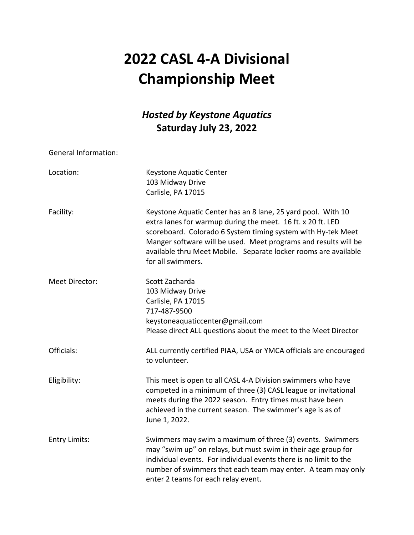# **2022 CASL 4‐A Divisional Championship Meet**

## *Hosted by Keystone Aquatics* **Saturday July 23, 2022**

General Information:

| Location:            | Keystone Aquatic Center<br>103 Midway Drive<br>Carlisle, PA 17015                                                                                                                                                                                                                                                                                      |
|----------------------|--------------------------------------------------------------------------------------------------------------------------------------------------------------------------------------------------------------------------------------------------------------------------------------------------------------------------------------------------------|
| Facility:            | Keystone Aquatic Center has an 8 lane, 25 yard pool. With 10<br>extra lanes for warmup during the meet. 16 ft. x 20 ft. LED<br>scoreboard. Colorado 6 System timing system with Hy-tek Meet<br>Manger software will be used. Meet programs and results will be<br>available thru Meet Mobile. Separate locker rooms are available<br>for all swimmers. |
| Meet Director:       | Scott Zacharda<br>103 Midway Drive<br>Carlisle, PA 17015<br>717-487-9500<br>keystoneaquaticcenter@gmail.com<br>Please direct ALL questions about the meet to the Meet Director                                                                                                                                                                         |
| Officials:           | ALL currently certified PIAA, USA or YMCA officials are encouraged<br>to volunteer.                                                                                                                                                                                                                                                                    |
| Eligibility:         | This meet is open to all CASL 4-A Division swimmers who have<br>competed in a minimum of three (3) CASL league or invitational<br>meets during the 2022 season. Entry times must have been<br>achieved in the current season. The swimmer's age is as of<br>June 1, 2022.                                                                              |
| <b>Entry Limits:</b> | Swimmers may swim a maximum of three (3) events. Swimmers<br>may "swim up" on relays, but must swim in their age group for<br>individual events. For individual events there is no limit to the<br>number of swimmers that each team may enter. A team may only<br>enter 2 teams for each relay event.                                                 |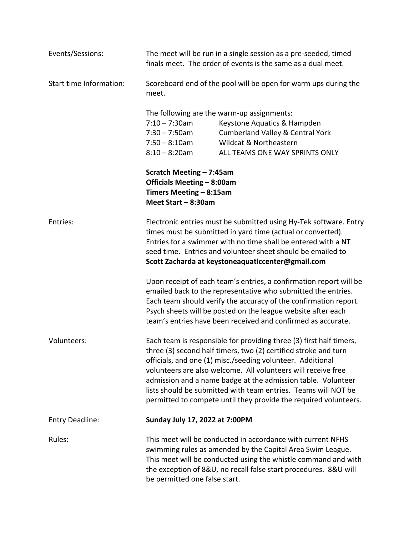| Events/Sessions:        | The meet will be run in a single session as a pre-seeded, timed<br>finals meet. The order of events is the same as a dual meet.                                                                                                                                                                                                                                                                                                                                             |                                                                                                                                                                                                                                                                                                                                         |
|-------------------------|-----------------------------------------------------------------------------------------------------------------------------------------------------------------------------------------------------------------------------------------------------------------------------------------------------------------------------------------------------------------------------------------------------------------------------------------------------------------------------|-----------------------------------------------------------------------------------------------------------------------------------------------------------------------------------------------------------------------------------------------------------------------------------------------------------------------------------------|
| Start time Information: | Scoreboard end of the pool will be open for warm ups during the<br>meet.                                                                                                                                                                                                                                                                                                                                                                                                    |                                                                                                                                                                                                                                                                                                                                         |
|                         | $7:10 - 7:30$ am<br>$7:30 - 7:50$ am<br>$7:50 - 8:10am$<br>$8:10 - 8:20$ am                                                                                                                                                                                                                                                                                                                                                                                                 | The following are the warm-up assignments:<br>Keystone Aquatics & Hampden<br><b>Cumberland Valley &amp; Central York</b><br>Wildcat & Northeastern<br>ALL TEAMS ONE WAY SPRINTS ONLY                                                                                                                                                    |
|                         | Scratch Meeting - 7:45am<br>Officials Meeting - 8:00am<br>Timers Meeting - 8:15am<br>Meet Start - 8:30am                                                                                                                                                                                                                                                                                                                                                                    |                                                                                                                                                                                                                                                                                                                                         |
| Entries:                | Electronic entries must be submitted using Hy-Tek software. Entry<br>times must be submitted in yard time (actual or converted).<br>Entries for a swimmer with no time shall be entered with a NT<br>seed time. Entries and volunteer sheet should be emailed to<br>Scott Zacharda at keystoneaquaticcenter@gmail.com                                                                                                                                                       |                                                                                                                                                                                                                                                                                                                                         |
|                         |                                                                                                                                                                                                                                                                                                                                                                                                                                                                             | Upon receipt of each team's entries, a confirmation report will be<br>emailed back to the representative who submitted the entries.<br>Each team should verify the accuracy of the confirmation report.<br>Psych sheets will be posted on the league website after each<br>team's entries have been received and confirmed as accurate. |
| Volunteers:             | Each team is responsible for providing three (3) first half timers,<br>three (3) second half timers, two (2) certified stroke and turn<br>officials, and one (1) misc./seeding volunteer. Additional<br>volunteers are also welcome. All volunteers will receive free<br>admission and a name badge at the admission table. Volunteer<br>lists should be submitted with team entries. Teams will NOT be<br>permitted to compete until they provide the required volunteers. |                                                                                                                                                                                                                                                                                                                                         |
| <b>Entry Deadline:</b>  | Sunday July 17, 2022 at 7:00PM                                                                                                                                                                                                                                                                                                                                                                                                                                              |                                                                                                                                                                                                                                                                                                                                         |
| Rules:                  | be permitted one false start.                                                                                                                                                                                                                                                                                                                                                                                                                                               | This meet will be conducted in accordance with current NFHS<br>swimming rules as amended by the Capital Area Swim League.<br>This meet will be conducted using the whistle command and with<br>the exception of 8&U, no recall false start procedures. 8&U will                                                                         |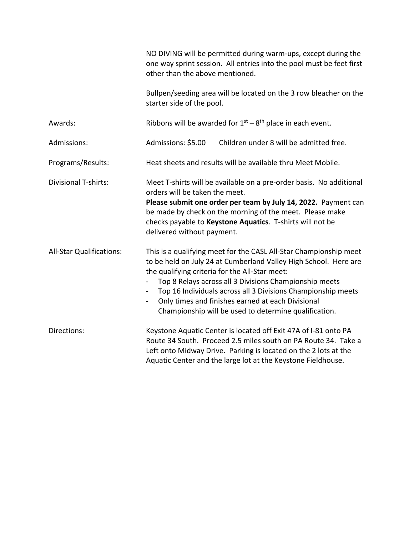|                                 | NO DIVING will be permitted during warm-ups, except during the<br>one way sprint session. All entries into the pool must be feet first<br>other than the above mentioned.                                                                                                                                                                                                                                                                                                        |  |
|---------------------------------|----------------------------------------------------------------------------------------------------------------------------------------------------------------------------------------------------------------------------------------------------------------------------------------------------------------------------------------------------------------------------------------------------------------------------------------------------------------------------------|--|
|                                 | Bullpen/seeding area will be located on the 3 row bleacher on the<br>starter side of the pool.                                                                                                                                                                                                                                                                                                                                                                                   |  |
| Awards:                         | Ribbons will be awarded for $1^{st} - 8^{th}$ place in each event.                                                                                                                                                                                                                                                                                                                                                                                                               |  |
| Admissions:                     | Admissions: \$5.00<br>Children under 8 will be admitted free.                                                                                                                                                                                                                                                                                                                                                                                                                    |  |
| Programs/Results:               | Heat sheets and results will be available thru Meet Mobile.                                                                                                                                                                                                                                                                                                                                                                                                                      |  |
| <b>Divisional T-shirts:</b>     | Meet T-shirts will be available on a pre-order basis. No additional<br>orders will be taken the meet.<br>Please submit one order per team by July 14, 2022. Payment can<br>be made by check on the morning of the meet. Please make<br>checks payable to Keystone Aquatics. T-shirts will not be<br>delivered without payment.                                                                                                                                                   |  |
| <b>All-Star Qualifications:</b> | This is a qualifying meet for the CASL All-Star Championship meet<br>to be held on July 24 at Cumberland Valley High School. Here are<br>the qualifying criteria for the All-Star meet:<br>Top 8 Relays across all 3 Divisions Championship meets<br>Top 16 Individuals across all 3 Divisions Championship meets<br>$\overline{\phantom{0}}$<br>Only times and finishes earned at each Divisional<br>$\qquad \qquad -$<br>Championship will be used to determine qualification. |  |
| Directions:                     | Keystone Aquatic Center is located off Exit 47A of I-81 onto PA<br>Route 34 South. Proceed 2.5 miles south on PA Route 34. Take a<br>Left onto Midway Drive. Parking is located on the 2 lots at the<br>Aquatic Center and the large lot at the Keystone Fieldhouse.                                                                                                                                                                                                             |  |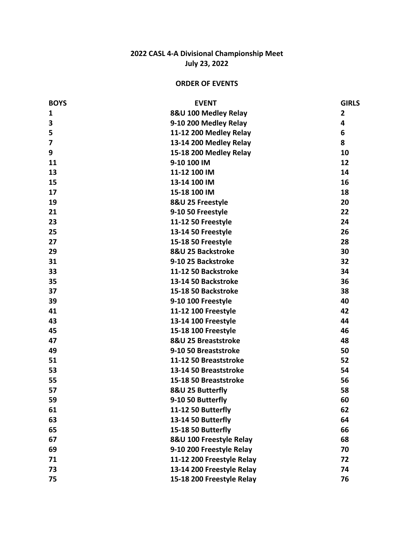#### **2022 CASL 4 ‐ A Divisional Championship Meet July 23, 2022**

#### **ORDER OF EVENTS**

| <b>BOYS</b>  | <b>EVENT</b>              | <b>GIRLS</b>   |
|--------------|---------------------------|----------------|
| $\mathbf{1}$ | 8&U 100 Medley Relay      | $\overline{2}$ |
| 3            | 9-10 200 Medley Relay     | 4              |
| 5            | 11-12 200 Medley Relay    | 6              |
| 7            | 13-14 200 Medley Relay    | 8              |
| 9            | 15-18 200 Medley Relay    | 10             |
| 11           | 9-10 100 IM               | 12             |
| 13           | 11-12 100 IM              | 14             |
| 15           | 13-14 100 IM              | 16             |
| 17           | 15-18 100 IM              | 18             |
| 19           | 8&U 25 Freestyle          | 20             |
| 21           | 9-10 50 Freestyle         | 22             |
| 23           | 11-12 50 Freestyle        | 24             |
| 25           | 13-14 50 Freestyle        | 26             |
| 27           | 15-18 50 Freestyle        | 28             |
| 29           | 8&U 25 Backstroke         | 30             |
| 31           | 9-10 25 Backstroke        | 32             |
| 33           | 11-12 50 Backstroke       | 34             |
| 35           | 13-14 50 Backstroke       | 36             |
| 37           | 15-18 50 Backstroke       | 38             |
| 39           | 9-10 100 Freestyle        | 40             |
| 41           | 11-12 100 Freestyle       | 42             |
| 43           | 13-14 100 Freestyle       | 44             |
| 45           | 15-18 100 Freestyle       | 46             |
| 47           | 8&U 25 Breaststroke       | 48             |
| 49           | 9-10 50 Breaststroke      | 50             |
| 51           | 11-12 50 Breaststroke     | 52             |
| 53           | 13-14 50 Breaststroke     | 54             |
| 55           | 15-18 50 Breaststroke     | 56             |
| 57           | 8&U 25 Butterfly          | 58             |
| 59           | 9-10 50 Butterfly         | 60             |
| 61           | 11-12 50 Butterfly        | 62             |
| 63           | 13-14 50 Butterfly        | 64             |
| 65           | 15-18 50 Butterfly        | 66             |
| 67           | 8&U 100 Freestyle Relay   | 68             |
| 69           | 9-10 200 Freestyle Relay  | 70             |
| 71           | 11-12 200 Freestyle Relay | 72             |
| 73           | 13-14 200 Freestyle Relay | 74             |
| 75           | 15-18 200 Freestyle Relay | 76             |